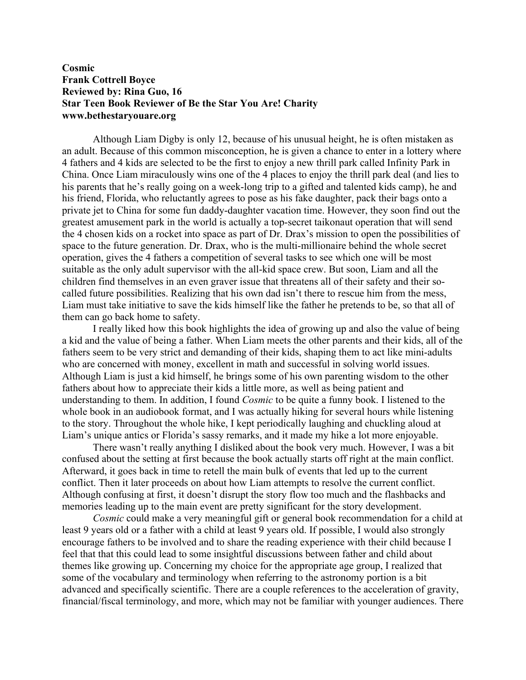## **Cosmic Frank Cottrell Boyce Reviewed by: Rina Guo, 16 Star Teen Book Reviewer of Be the Star You Are! Charity www.bethestaryouare.org**

Although Liam Digby is only 12, because of his unusual height, he is often mistaken as an adult. Because of this common misconception, he is given a chance to enter in a lottery where 4 fathers and 4 kids are selected to be the first to enjoy a new thrill park called Infinity Park in China. Once Liam miraculously wins one of the 4 places to enjoy the thrill park deal (and lies to his parents that he's really going on a week-long trip to a gifted and talented kids camp), he and his friend, Florida, who reluctantly agrees to pose as his fake daughter, pack their bags onto a private jet to China for some fun daddy-daughter vacation time. However, they soon find out the greatest amusement park in the world is actually a top-secret taikonaut operation that will send the 4 chosen kids on a rocket into space as part of Dr. Drax's mission to open the possibilities of space to the future generation. Dr. Drax, who is the multi-millionaire behind the whole secret operation, gives the 4 fathers a competition of several tasks to see which one will be most suitable as the only adult supervisor with the all-kid space crew. But soon, Liam and all the children find themselves in an even graver issue that threatens all of their safety and their socalled future possibilities. Realizing that his own dad isn't there to rescue him from the mess, Liam must take initiative to save the kids himself like the father he pretends to be, so that all of them can go back home to safety.

I really liked how this book highlights the idea of growing up and also the value of being a kid and the value of being a father. When Liam meets the other parents and their kids, all of the fathers seem to be very strict and demanding of their kids, shaping them to act like mini-adults who are concerned with money, excellent in math and successful in solving world issues. Although Liam is just a kid himself, he brings some of his own parenting wisdom to the other fathers about how to appreciate their kids a little more, as well as being patient and understanding to them. In addition, I found *Cosmic* to be quite a funny book. I listened to the whole book in an audiobook format, and I was actually hiking for several hours while listening to the story. Throughout the whole hike, I kept periodically laughing and chuckling aloud at Liam's unique antics or Florida's sassy remarks, and it made my hike a lot more enjoyable.

There wasn't really anything I disliked about the book very much. However, I was a bit confused about the setting at first because the book actually starts off right at the main conflict. Afterward, it goes back in time to retell the main bulk of events that led up to the current conflict. Then it later proceeds on about how Liam attempts to resolve the current conflict. Although confusing at first, it doesn't disrupt the story flow too much and the flashbacks and memories leading up to the main event are pretty significant for the story development.

*Cosmic* could make a very meaningful gift or general book recommendation for a child at least 9 years old or a father with a child at least 9 years old. If possible, I would also strongly encourage fathers to be involved and to share the reading experience with their child because I feel that that this could lead to some insightful discussions between father and child about themes like growing up. Concerning my choice for the appropriate age group, I realized that some of the vocabulary and terminology when referring to the astronomy portion is a bit advanced and specifically scientific. There are a couple references to the acceleration of gravity, financial/fiscal terminology, and more, which may not be familiar with younger audiences. There